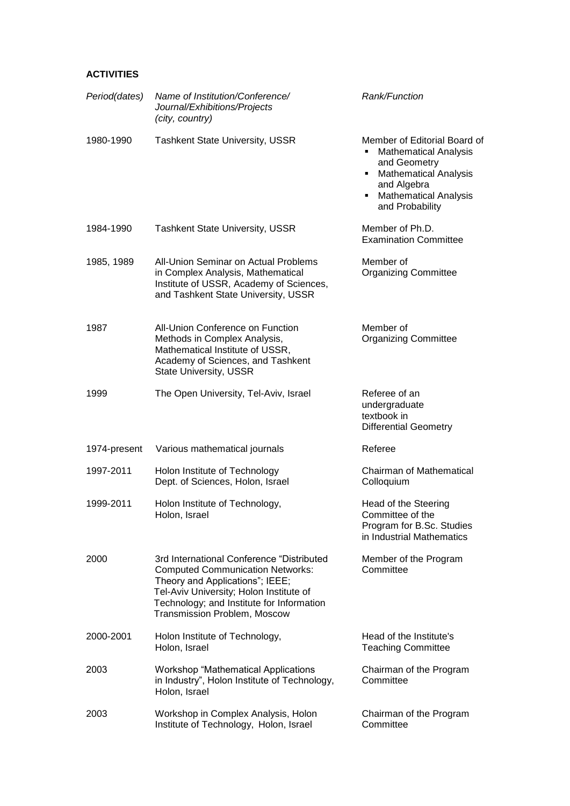## **ACTIVITIES**

| Period(dates) | Name of Institution/Conference/<br>Journal/Exhibitions/Projects<br>(city, country)                                                                                                                                                              | <b>Rank/Function</b>                                                                                                                                                                     |
|---------------|-------------------------------------------------------------------------------------------------------------------------------------------------------------------------------------------------------------------------------------------------|------------------------------------------------------------------------------------------------------------------------------------------------------------------------------------------|
| 1980-1990     | <b>Tashkent State University, USSR</b>                                                                                                                                                                                                          | Member of Editorial Board of<br><b>Mathematical Analysis</b><br>and Geometry<br><b>Mathematical Analysis</b><br>٠<br>and Algebra<br><b>Mathematical Analysis</b><br>٠<br>and Probability |
| 1984-1990     | <b>Tashkent State University, USSR</b>                                                                                                                                                                                                          | Member of Ph.D.<br><b>Examination Committee</b>                                                                                                                                          |
| 1985, 1989    | <b>All-Union Seminar on Actual Problems</b><br>in Complex Analysis, Mathematical<br>Institute of USSR, Academy of Sciences,<br>and Tashkent State University, USSR                                                                              | Member of<br><b>Organizing Committee</b>                                                                                                                                                 |
| 1987          | All-Union Conference on Function<br>Methods in Complex Analysis,<br>Mathematical Institute of USSR,<br>Academy of Sciences, and Tashkent<br><b>State University, USSR</b>                                                                       | Member of<br><b>Organizing Committee</b>                                                                                                                                                 |
| 1999          | The Open University, Tel-Aviv, Israel                                                                                                                                                                                                           | Referee of an<br>undergraduate<br>textbook in<br><b>Differential Geometry</b>                                                                                                            |
| 1974-present  | Various mathematical journals                                                                                                                                                                                                                   | Referee                                                                                                                                                                                  |
| 1997-2011     | Holon Institute of Technology<br>Dept. of Sciences, Holon, Israel                                                                                                                                                                               | Chairman of Mathematical<br>Colloquium                                                                                                                                                   |
| 1999-2011     | Holon Institute of Technology,<br>Holon, Israel                                                                                                                                                                                                 | Head of the Steering<br>Committee of the<br>Program for B.Sc. Studies<br>in Industrial Mathematics                                                                                       |
| 2000          | 3rd International Conference "Distributed<br><b>Computed Communication Networks:</b><br>Theory and Applications"; IEEE;<br>Tel-Aviv University; Holon Institute of<br>Technology; and Institute for Information<br>Transmission Problem, Moscow | Member of the Program<br>Committee                                                                                                                                                       |
| 2000-2001     | Holon Institute of Technology,<br>Holon, Israel                                                                                                                                                                                                 | Head of the Institute's<br><b>Teaching Committee</b>                                                                                                                                     |
| 2003          | <b>Workshop "Mathematical Applications"</b><br>in Industry", Holon Institute of Technology,<br>Holon, Israel                                                                                                                                    | Chairman of the Program<br>Committee                                                                                                                                                     |
| 2003          | Workshop in Complex Analysis, Holon<br>Institute of Technology, Holon, Israel                                                                                                                                                                   | Chairman of the Program<br>Committee                                                                                                                                                     |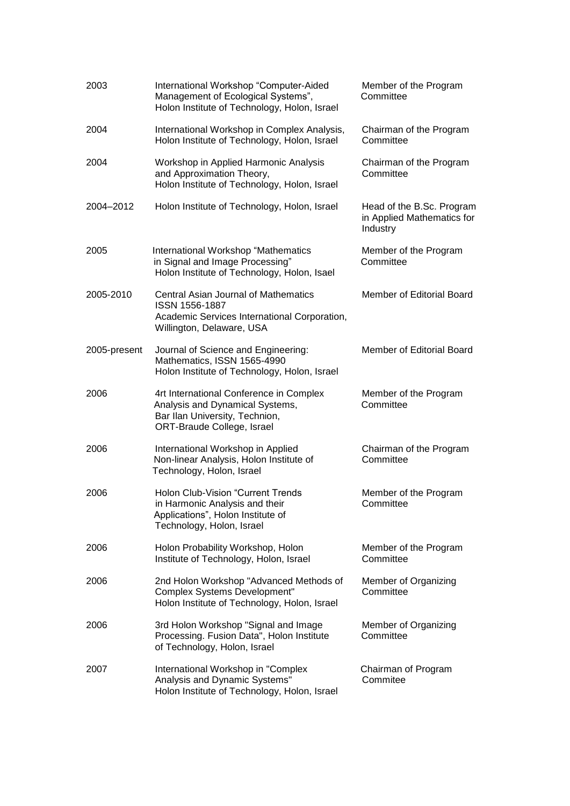| 2003         | International Workshop "Computer-Aided<br>Management of Ecological Systems",<br>Holon Institute of Technology, Holon, Israel                 | Member of the Program<br>Committee                                  |
|--------------|----------------------------------------------------------------------------------------------------------------------------------------------|---------------------------------------------------------------------|
| 2004         | International Workshop in Complex Analysis,<br>Holon Institute of Technology, Holon, Israel                                                  | Chairman of the Program<br>Committee                                |
| 2004         | Workshop in Applied Harmonic Analysis<br>and Approximation Theory,<br>Holon Institute of Technology, Holon, Israel                           | Chairman of the Program<br>Committee                                |
| 2004-2012    | Holon Institute of Technology, Holon, Israel                                                                                                 | Head of the B.Sc. Program<br>in Applied Mathematics for<br>Industry |
| 2005         | International Workshop "Mathematics<br>in Signal and Image Processing"<br>Holon Institute of Technology, Holon, Isael                        | Member of the Program<br>Committee                                  |
| 2005-2010    | <b>Central Asian Journal of Mathematics</b><br>ISSN 1556-1887<br>Academic Services International Corporation,<br>Willington, Delaware, USA   | Member of Editorial Board                                           |
| 2005-present | Journal of Science and Engineering:<br>Mathematics, ISSN 1565-4990<br>Holon Institute of Technology, Holon, Israel                           | Member of Editorial Board                                           |
| 2006         | 4rt International Conference in Complex<br>Analysis and Dynamical Systems,<br>Bar Ilan University, Technion,<br>ORT-Braude College, Israel   | Member of the Program<br>Committee                                  |
| 2006         | International Workshop in Applied<br>Non-linear Analysis, Holon Institute of<br>Technology, Holon, Israel                                    | Chairman of the Program<br>Committee                                |
| 2006         | <b>Holon Club-Vision "Current Trends</b><br>in Harmonic Analysis and their<br>Applications", Holon Institute of<br>Technology, Holon, Israel | Member of the Program<br>Committee                                  |
| 2006         | Holon Probability Workshop, Holon<br>Institute of Technology, Holon, Israel                                                                  | Member of the Program<br>Committee                                  |
| 2006         | 2nd Holon Workshop "Advanced Methods of<br><b>Complex Systems Development"</b><br>Holon Institute of Technology, Holon, Israel               | Member of Organizing<br>Committee                                   |
| 2006         | 3rd Holon Workshop "Signal and Image<br>Processing. Fusion Data", Holon Institute<br>of Technology, Holon, Israel                            | Member of Organizing<br>Committee                                   |
| 2007         | International Workshop in "Complex<br>Analysis and Dynamic Systems"<br>Holon Institute of Technology, Holon, Israel                          | Chairman of Program<br>Commitee                                     |